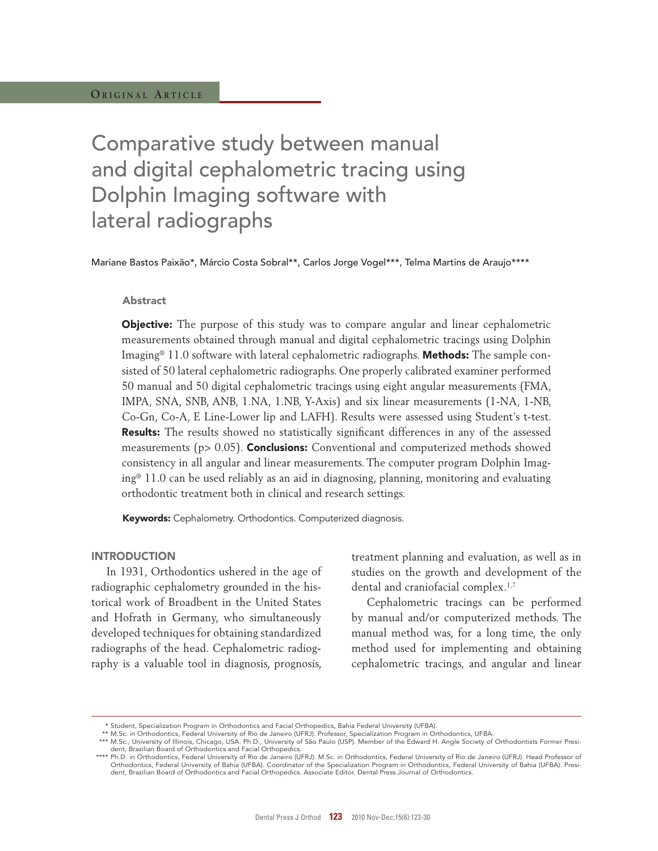# Comparative study between manual and digital cephalometric tracing using Dolphin Imaging software with lateral radiographs

Mariane Bastos Paixão\*, Márcio Costa Sobral\*\*, Carlos Jorge Vogel\*\*\*, Telma Martins de Araujo\*\*\*\*

## Abstract

Objective: The purpose of this study was to compare angular and linear cephalometric measurements obtained through manual and digital cephalometric tracings using Dolphin Imaging<sup>®</sup> 11.0 software with lateral cephalometric radiographs. **Methods:** The sample consisted of 50 lateral cephalometric radiographs. One properly calibrated examiner performed 50 manual and 50 digital cephalometric tracings using eight angular measurements (FMA, IMPA, SNA, SNB, ANB, 1.NA, 1.NB, Y-Axis) and six linear measurements (1-NA, 1-NB, Co-Gn, Co-A, E Line-Lower lip and LAFH). Results were assessed using Student's t-test. Results: The results showed no statistically significant differences in any of the assessed measurements ( $p > 0.05$ ). **Conclusions:** Conventional and computerized methods showed consistency in all angular and linear measurements. The computer program Dolphin Imaging® 11.0 can be used reliably as an aid in diagnosing, planning, monitoring and evaluating orthodontic treatment both in clinical and research settings.

Keywords: Cephalometry. Orthodontics. Computerized diagnosis.

## **INTRODUCTION**

In 1931, Orthodontics ushered in the age of radiographic cephalometry grounded in the historical work of Broadbent in the United States and Hofrath in Germany, who simultaneously developed techniques for obtaining standardized radiographs of the head. Cephalometric radiography is a valuable tool in diagnosis, prognosis,

treatment planning and evaluation, as well as in studies on the growth and development of the dental and craniofacial complex.<sup>1,7</sup>

Cephalometric tracings can be performed by manual and/or computerized methods. The manual method was, for a long time, the only method used for implementing and obtaining cephalometric tracings, and angular and linear

 <sup>\*</sup> Student, Specialization Program in Orthodontics and Facial Orthopedics, Bahia Federal University (UFBA).

<sup>\*\*</sup> M.Sc. in Orthodontics, Federal University of Rio de Janeiro (UFRJ). Professor, Specialization Program in Orthodontics, UFBA.<br>\*\*\* M.Sc., University of Illinois, Chicago, USA. Ph.D., University of São Paulo (USP). Member dent, Brazilian Board of Orthodontics and Facial Orthopedics.

 <sup>\*\*\*\*</sup> Ph.D. in Orthodontics, Federal University of Rio de Janeiro (UFRJ). M.Sc. in Orthodontics, Federal University of Rio de Janeiro (UFRJ). Head Professor of Orthodontics, Federal University of Bahia (UFBA). Coordinator of the Specialization Program in Orthodontics, Federal University of Bahia (UFBA). President, Brazilian Board of Orthodontics and Facial Orthopedics. Associate Editor, Dental Press Journal of Orthodontics.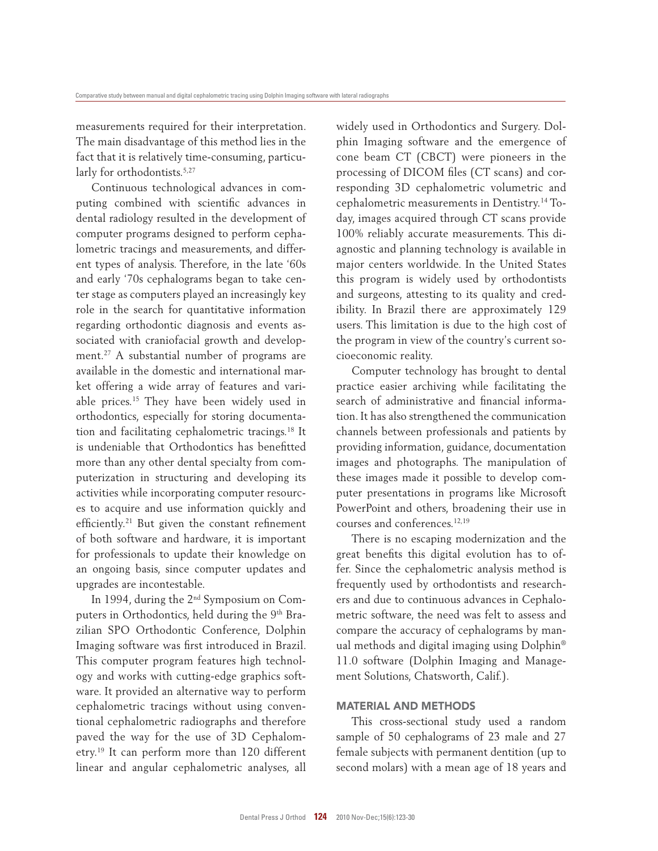measurements required for their interpretation. The main disadvantage of this method lies in the fact that it is relatively time-consuming, particularly for orthodontists.<sup>5,27</sup>

Continuous technological advances in computing combined with scientific advances in dental radiology resulted in the development of computer programs designed to perform cephalometric tracings and measurements, and different types of analysis. Therefore, in the late '60s and early '70s cephalograms began to take center stage as computers played an increasingly key role in the search for quantitative information regarding orthodontic diagnosis and events associated with craniofacial growth and development.<sup>27</sup> A substantial number of programs are available in the domestic and international market offering a wide array of features and variable prices.<sup>15</sup> They have been widely used in orthodontics, especially for storing documentation and facilitating cephalometric tracings.<sup>18</sup> It is undeniable that Orthodontics has benefitted more than any other dental specialty from computerization in structuring and developing its activities while incorporating computer resources to acquire and use information quickly and efficiently.<sup>21</sup> But given the constant refinement of both software and hardware, it is important for professionals to update their knowledge on an ongoing basis, since computer updates and upgrades are incontestable.

In 1994, during the 2nd Symposium on Computers in Orthodontics, held during the 9th Brazilian SPO Orthodontic Conference, Dolphin Imaging software was first introduced in Brazil. This computer program features high technology and works with cutting-edge graphics software. It provided an alternative way to perform cephalometric tracings without using conventional cephalometric radiographs and therefore paved the way for the use of 3D Cephalometry.<sup>19</sup> It can perform more than 120 different linear and angular cephalometric analyses, all widely used in Orthodontics and Surgery. Dolphin Imaging software and the emergence of cone beam CT (CBCT) were pioneers in the processing of DICOM files (CT scans) and corresponding 3D cephalometric volumetric and cephalometric measurements in Dentistry.14 Today, images acquired through CT scans provide 100% reliably accurate measurements. This diagnostic and planning technology is available in major centers worldwide. In the United States this program is widely used by orthodontists and surgeons, attesting to its quality and credibility. In Brazil there are approximately 129 users. This limitation is due to the high cost of the program in view of the country's current socioeconomic reality.

Computer technology has brought to dental practice easier archiving while facilitating the search of administrative and financial information. It has also strengthened the communication channels between professionals and patients by providing information, guidance, documentation images and photographs. The manipulation of these images made it possible to develop computer presentations in programs like Microsoft PowerPoint and others, broadening their use in courses and conferences.12,19

There is no escaping modernization and the great benefits this digital evolution has to offer. Since the cephalometric analysis method is frequently used by orthodontists and researchers and due to continuous advances in Cephalometric software, the need was felt to assess and compare the accuracy of cephalograms by manual methods and digital imaging using Dolphin® 11.0 software (Dolphin Imaging and Management Solutions, Chatsworth, Calif.).

# MAtERIAL AnD MEtHODS

This cross-sectional study used a random sample of 50 cephalograms of 23 male and 27 female subjects with permanent dentition (up to second molars) with a mean age of 18 years and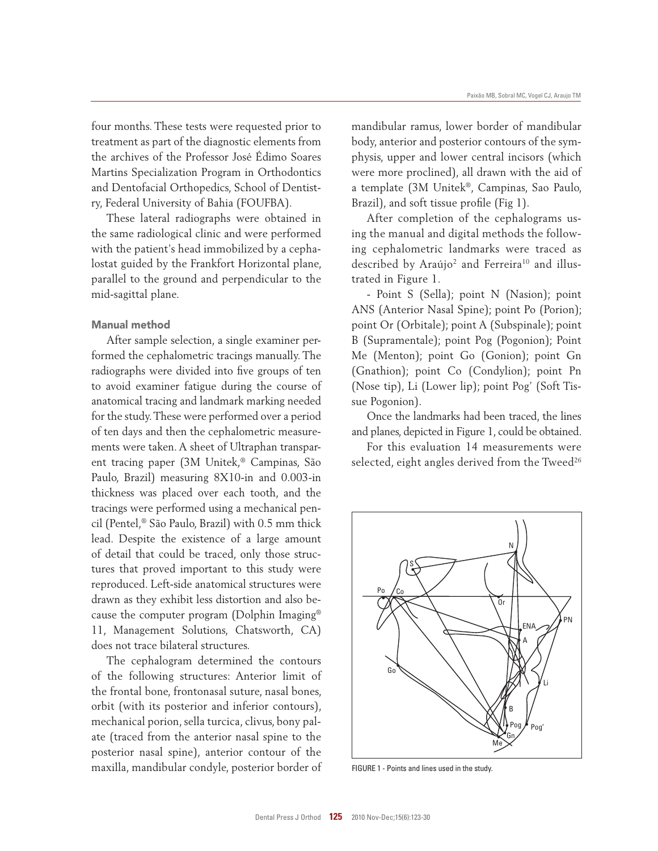four months. These tests were requested prior to treatment as part of the diagnostic elements from the archives of the Professor José Édimo Soares Martins Specialization Program in Orthodontics and Dentofacial Orthopedics, School of Dentistry, Federal University of Bahia (FOUFBA).

These lateral radiographs were obtained in the same radiological clinic and were performed with the patient's head immobilized by a cephalostat guided by the Frankfort Horizontal plane, parallel to the ground and perpendicular to the mid-sagittal plane.

# Manual method

After sample selection, a single examiner performed the cephalometric tracings manually. The radiographs were divided into five groups of ten to avoid examiner fatigue during the course of anatomical tracing and landmark marking needed for the study. These were performed over a period of ten days and then the cephalometric measurements were taken. A sheet of Ultraphan transparent tracing paper (3M Unitek,® Campinas, São Paulo, Brazil) measuring 8X10-in and 0.003-in thickness was placed over each tooth, and the tracings were performed using a mechanical pencil (Pentel,® São Paulo, Brazil) with 0.5 mm thick lead. Despite the existence of a large amount of detail that could be traced, only those structures that proved important to this study were reproduced. Left-side anatomical structures were drawn as they exhibit less distortion and also because the computer program (Dolphin Imaging® 11, Management Solutions, Chatsworth, CA) does not trace bilateral structures.

The cephalogram determined the contours of the following structures: Anterior limit of the frontal bone, frontonasal suture, nasal bones, orbit (with its posterior and inferior contours), mechanical porion, sella turcica, clivus, bony palate (traced from the anterior nasal spine to the posterior nasal spine), anterior contour of the maxilla, mandibular condyle, posterior border of mandibular ramus, lower border of mandibular body, anterior and posterior contours of the symphysis, upper and lower central incisors (which were more proclined), all drawn with the aid of a template (3M Unitek®, Campinas, Sao Paulo, Brazil), and soft tissue profile (Fig 1).

After completion of the cephalograms using the manual and digital methods the following cephalometric landmarks were traced as described by Araújo<sup>2</sup> and Ferreira<sup>10</sup> and illustrated in Figure 1.

- Point S (Sella); point N (Nasion); point ANS (Anterior Nasal Spine); point Po (Porion); point Or (Orbitale); point A (Subspinale); point B (Supramentale); point Pog (Pogonion); Point Me (Menton); point Go (Gonion); point Gn (Gnathion); point Co (Condylion); point Pn (Nose tip), Li (Lower lip); point Pog' (Soft Tissue Pogonion).

Once the landmarks had been traced, the lines and planes, depicted in Figure 1, could be obtained.

For this evaluation 14 measurements were selected, eight angles derived from the Tweed<sup>26</sup>



FIGURE 1 - Points and lines used in the study.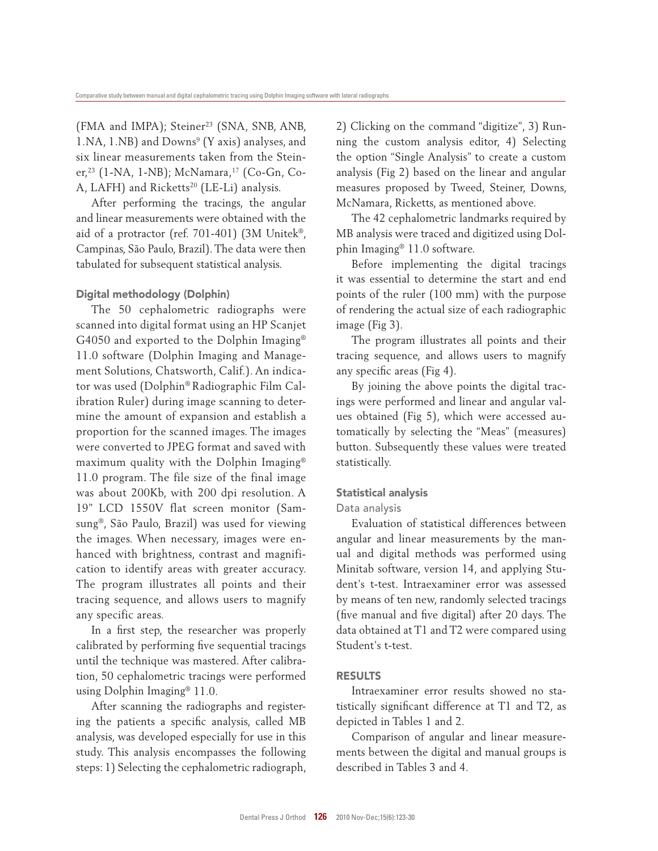(FMA and IMPA); Steiner<sup>23</sup> (SNA, SNB, ANB, 1. NA, 1. NB) and Downs<sup>9</sup> (Y axis) analyses, and six linear measurements taken from the Steiner,<sup>23</sup> (1-NA, 1-NB); McNamara,<sup>17</sup> (Co-Gn, Co-A, LAFH) and Ricketts<sup>20</sup> (LE-Li) analysis.

After performing the tracings, the angular and linear measurements were obtained with the aid of a protractor (ref. 701-401) (3M Unitek®, Campinas, São Paulo, Brazil). The data were then tabulated for subsequent statistical analysis.

# Digital methodology (Dolphin)

The 50 cephalometric radiographs were scanned into digital format using an HP Scanjet G4050 and exported to the Dolphin Imaging® 11.0 software (Dolphin Imaging and Management Solutions, Chatsworth, Calif.). An indicator was used (Dolphin® Radiographic Film Calibration Ruler) during image scanning to determine the amount of expansion and establish a proportion for the scanned images. The images were converted to JPEG format and saved with maximum quality with the Dolphin Imaging® 11.0 program. The file size of the final image was about 200Kb, with 200 dpi resolution. A 19" LCD 1550V flat screen monitor (Samsung®, São Paulo, Brazil) was used for viewing the images. When necessary, images were enhanced with brightness, contrast and magnification to identify areas with greater accuracy. The program illustrates all points and their tracing sequence, and allows users to magnify any specific areas.

In a first step, the researcher was properly calibrated by performing five sequential tracings until the technique was mastered. After calibration, 50 cephalometric tracings were performed using Dolphin Imaging® 11.0.

After scanning the radiographs and registering the patients a specific analysis, called MB analysis, was developed especially for use in this study. This analysis encompasses the following steps: 1) Selecting the cephalometric radiograph, 2) Clicking on the command "digitize", 3) Running the custom analysis editor, 4) Selecting the option "Single Analysis" to create a custom analysis (Fig 2) based on the linear and angular measures proposed by Tweed, Steiner, Downs, McNamara, Ricketts, as mentioned above.

The 42 cephalometric landmarks required by MB analysis were traced and digitized using Dolphin Imaging® 11.0 software.

Before implementing the digital tracings it was essential to determine the start and end points of the ruler (100 mm) with the purpose of rendering the actual size of each radiographic image (Fig 3).

The program illustrates all points and their tracing sequence, and allows users to magnify any specific areas (Fig 4).

By joining the above points the digital tracings were performed and linear and angular values obtained (Fig 5), which were accessed automatically by selecting the "Meas" (measures) button. Subsequently these values were treated statistically.

#### Statistical analysis

# Data analysis

Evaluation of statistical differences between angular and linear measurements by the manual and digital methods was performed using Minitab software, version 14, and applying Student's t-test. Intraexaminer error was assessed by means of ten new, randomly selected tracings (five manual and five digital) after 20 days. The data obtained at T1 and T2 were compared using Student's t-test.

### RESULTS

Intraexaminer error results showed no statistically significant difference at T1 and T2, as depicted in Tables 1 and 2.

Comparison of angular and linear measurements between the digital and manual groups is described in Tables 3 and 4.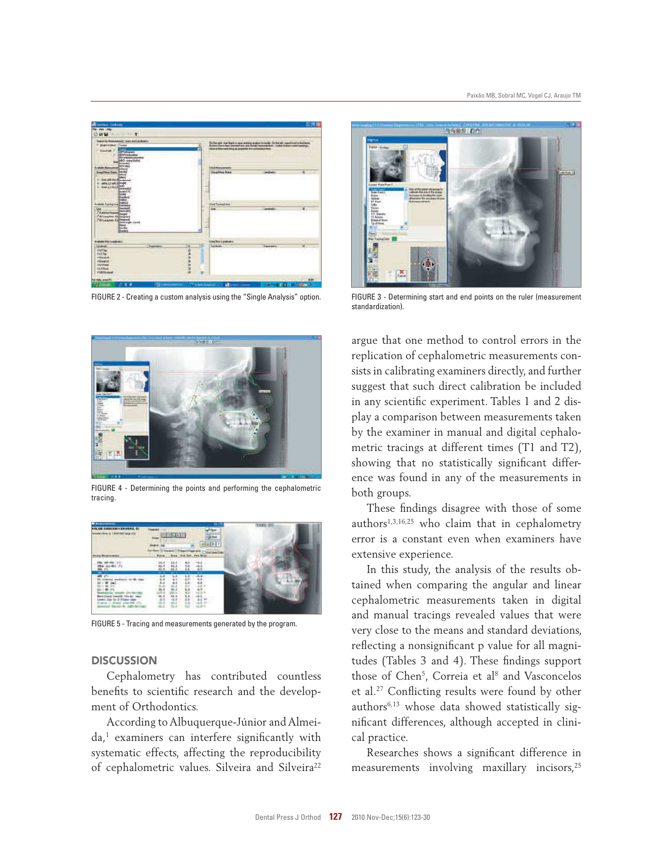

FIGURE 2 - Creating a custom analysis using the "Single Analysis" option.



FIGURE 4 - Determining the points and performing the cephalometric tracing.



FIGURE 5 - Tracing and measurements generated by the program.

# **DISCUSSION**

Cephalometry has contributed countless benefits to scientific research and the development of Orthodontics.

According to Albuquerque-Júnior and Almei $da<sub>1</sub>$  examiners can interfere significantly with systematic effects, affecting the reproducibility of cephalometric values. Silveira and Silveira<sup>22</sup>



FIGURE 3 - Determining start and end points on the ruler (measurement standardization).

argue that one method to control errors in the replication of cephalometric measurements consists in calibrating examiners directly, and further suggest that such direct calibration be included in any scientific experiment. Tables 1 and 2 display a comparison between measurements taken by the examiner in manual and digital cephalometric tracings at different times (T1 and T2), showing that no statistically significant difference was found in any of the measurements in both groups.

These findings disagree with those of some authors1,3,16,25 who claim that in cephalometry error is a constant even when examiners have extensive experience.

In this study, the analysis of the results obtained when comparing the angular and linear cephalometric measurements taken in digital and manual tracings revealed values that were very close to the means and standard deviations, reflecting a nonsignificant p value for all magnitudes (Tables 3 and 4). These findings support those of Chen<sup>5</sup>, Correia et al<sup>8</sup> and Vasconcelos et al.<sup>27</sup> Conflicting results were found by other authors6,13 whose data showed statistically significant differences, although accepted in clinical practice.

Researches shows a significant difference in measurements involving maxillary incisors,<sup>25</sup>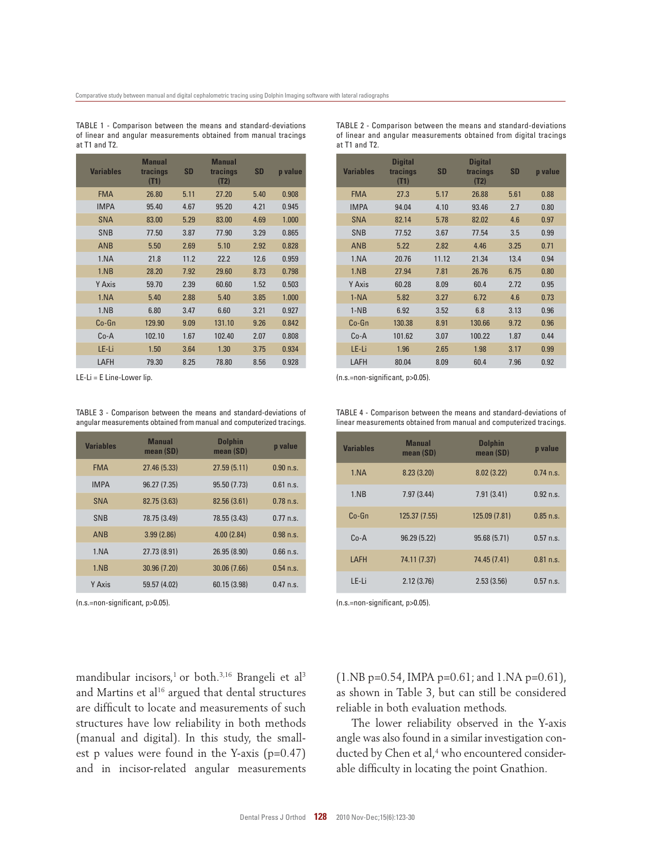TABLE 1 - Comparison between the means and standard-deviations of linear and angular measurements obtained from manual tracings at T1 and T2.

| <b>Variables</b> | <b>Manual</b><br>tracings<br>(T1) | <b>SD</b> | <b>Manual</b><br>tracings<br>(T2) | <b>SD</b> | p value |
|------------------|-----------------------------------|-----------|-----------------------------------|-----------|---------|
| <b>FMA</b>       | 26.80                             | 5.11      | 27.20                             | 5.40      | 0.908   |
| <b>IMPA</b>      | 95.40                             | 4.67      | 95.20                             | 4.21      | 0.945   |
| <b>SNA</b>       | 83.00                             | 5.29      | 83.00                             | 4.69      | 1.000   |
| <b>SNB</b>       | 77.50                             | 3.87      | 77.90                             | 3.29      | 0.865   |
| <b>ANB</b>       | 5.50                              | 2.69      | 5.10                              | 2.92      | 0.828   |
| 1.NA             | 21.8                              | 11.2      | 22.2                              | 12.6      | 0.959   |
| 1.NB             | 28.20                             | 7.92      | 29.60                             | 8.73      | 0.798   |
| Y Axis           | 59.70                             | 2.39      | 60.60                             | 1.52      | 0.503   |
| 1.NA             | 5.40                              | 2.88      | 5.40                              | 3.85      | 1.000   |
| 1.NB             | 6.80                              | 3.47      | 6.60                              | 3.21      | 0.927   |
| Co-Gn            | 129.90                            | 9.09      | 131.10                            | 9.26      | 0.842   |
| $Co-A$           | 102.10                            | 1.67      | 102.40                            | 2.07      | 0.808   |
| LE-Li            | 1.50                              | 3.64      | 1.30                              | 3.75      | 0.934   |
| LAFH             | 79.30                             | 8.25      | 78.80                             | 8.56      | 0.928   |

TABLE 3 - Comparison between the means and standard-deviations of angular measurements obtained from manual and computerized tracings.

| <b>Variables</b> | <b>Manual</b><br>mean (SD) | <b>Dolphin</b><br>mean (SD) | p value     |
|------------------|----------------------------|-----------------------------|-------------|
| <b>FMA</b>       | 27.46 (5.33)               | 27.59(5.11)                 | $0.90$ n.s. |
| <b>IMPA</b>      | 96.27 (7.35)               | 95.50 (7.73)                | $0.61$ n.s. |
| <b>SNA</b>       | 82.75 (3.63)               | 82.56 (3.61)                | $0.78$ n.s. |
| <b>SNB</b>       | 78.75 (3.49)               | 78.55 (3.43)                | $0.77$ n.s. |
| <b>ANB</b>       | 3.99(2.86)                 | 4.00(2.84)                  | $0.98$ n.s. |
| 1.NA             | 27.73 (8.91)               | 26.95 (8.90)                | $0.66$ n.s. |
| 1.NB             | 30.96 (7.20)               | 30.06 (7.66)                | $0.54$ n.s. |
| Y Axis           | 59.57 (4.02)               | 60.15 (3.98)                | $0.47$ n.s. |

TABLE 2 - Comparison between the means and standard-deviations of linear and angular measurements obtained from digital tracings at T1 and T2.

| <b>Variables</b> | <b>Digital</b><br>tracings<br>(T1) | <b>SD</b> | <b>Digital</b><br>tracings<br>(T2) | <b>SD</b> | p value |
|------------------|------------------------------------|-----------|------------------------------------|-----------|---------|
| <b>FMA</b>       | 27.3                               | 5.17      | 26.88                              | 5.61      | 0.88    |
| <b>IMPA</b>      | 94.04                              | 4.10      | 93.46                              | 2.7       | 0.80    |
| <b>SNA</b>       | 82.14                              | 5.78      | 82.02                              | 4.6       | 0.97    |
| <b>SNB</b>       | 77.52                              | 3.67      | 77.54                              | 3.5       | 0.99    |
| <b>ANB</b>       | 5.22                               | 2.82      | 4.46                               | 3.25      | 0.71    |
| 1.NA             | 20.76                              | 11.12     | 21.34                              | 13.4      | 0.94    |
| 1.NB             | 27.94                              | 7.81      | 26.76                              | 6.75      | 0.80    |
| Y Axis           | 60.28                              | 8.09      | 60.4                               | 2.72      | 0.95    |
| $1-NA$           | 5.82                               | 3.27      | 6.72                               | 4.6       | 0.73    |
| $1-NB$           | 6.92                               | 3.52      | 6.8                                | 3.13      | 0.96    |
| Co-Gn            | 130.38                             | 8.91      | 130.66                             | 9.72      | 0.96    |
| Co-A             | 101.62                             | 3.07      | 100.22                             | 1.87      | 0.44    |
| LE-Li            | 1.96                               | 2.65      | 1.98                               | 3.17      | 0.99    |
| LAFH             | 80.04                              | 8.09      | 60.4                               | 7.96      | 0.92    |

LE-Li = E Line-Lower lip. (n.s.=non-significant, p>0.05).

TABLE 4 - Comparison between the means and standard-deviations of linear measurements obtained from manual and computerized tracings.

| <b>Variables</b> | <b>Manual</b><br>mean (SD) | <b>Dolphin</b><br>mean (SD) | p value     |
|------------------|----------------------------|-----------------------------|-------------|
| 1.NA             | 8.23(3.20)                 | 8.02(3.22)                  | $0.74$ n.s. |
| 1.NB             | 7.97(3.44)                 | 7.91(3.41)                  | $0.92$ n.s. |
| $Co-Gn$          | 125.37 (7.55)              | 125.09 (7.81)               | $0.85$ n.s. |
| $C_0 - A$        | 96.29 (5.22)               | 95.68 (5.71)                | $0.57$ n.s. |
| LAFH             | 74.11 (7.37)               | 74.45 (7.41)                | $0.81$ n.s. |
| LE-Li            | 2.12(3.76)                 | 2.53(3.56)                  | $0.57$ n.s. |

(n.s.=non-significant, p>0.05). (n.s.=non-significant, p>0.05).

mandibular incisors,<sup>1</sup> or both.<sup>3,16</sup> Brangeli et al<sup>3</sup> and Martins et al<sup>16</sup> argued that dental structures are difficult to locate and measurements of such structures have low reliability in both methods (manual and digital). In this study, the smallest p values were found in the Y-axis (p=0.47) and in incisor-related angular measurements (1.NB p=0.54, IMPA p=0.61; and 1.NA p=0.61), as shown in Table 3, but can still be considered reliable in both evaluation methods.

The lower reliability observed in the Y-axis angle was also found in a similar investigation conducted by Chen et al,<sup>4</sup> who encountered considerable difficulty in locating the point Gnathion.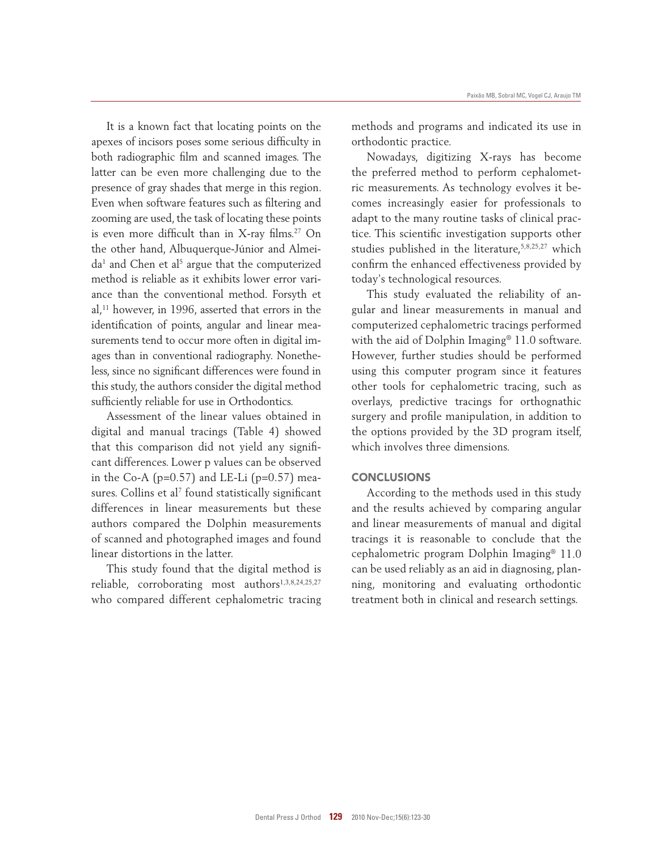It is a known fact that locating points on the apexes of incisors poses some serious difficulty in both radiographic film and scanned images. The latter can be even more challenging due to the presence of gray shades that merge in this region. Even when software features such as filtering and zooming are used, the task of locating these points is even more difficult than in X-ray films.<sup>27</sup> On the other hand, Albuquerque-Júnior and Almei $da<sup>1</sup>$  and Chen et al<sup>5</sup> argue that the computerized method is reliable as it exhibits lower error variance than the conventional method. Forsyth et al,<sup>11</sup> however, in 1996, asserted that errors in the identification of points, angular and linear measurements tend to occur more often in digital images than in conventional radiography. Nonetheless, since no significant differences were found in this study, the authors consider the digital method sufficiently reliable for use in Orthodontics.

Assessment of the linear values obtained in digital and manual tracings (Table 4) showed that this comparison did not yield any significant differences. Lower p values can be observed in the Co-A ( $p=0.57$ ) and LE-Li ( $p=0.57$ ) measures. Collins et al $^7$  found statistically significant differences in linear measurements but these authors compared the Dolphin measurements of scanned and photographed images and found linear distortions in the latter.

This study found that the digital method is reliable, corroborating most authors<sup>1,3,8,24,25,27</sup> who compared different cephalometric tracing methods and programs and indicated its use in orthodontic practice.

Nowadays, digitizing X-rays has become the preferred method to perform cephalometric measurements. As technology evolves it becomes increasingly easier for professionals to adapt to the many routine tasks of clinical practice. This scientific investigation supports other studies published in the literature,<sup>5,8,25,27</sup> which confirm the enhanced effectiveness provided by today's technological resources.

This study evaluated the reliability of angular and linear measurements in manual and computerized cephalometric tracings performed with the aid of Dolphin Imaging<sup>®</sup> 11.0 software. However, further studies should be performed using this computer program since it features other tools for cephalometric tracing, such as overlays, predictive tracings for orthognathic surgery and profile manipulation, in addition to the options provided by the 3D program itself, which involves three dimensions.

#### **CONCLUSIONS**

According to the methods used in this study and the results achieved by comparing angular and linear measurements of manual and digital tracings it is reasonable to conclude that the cephalometric program Dolphin Imaging® 11.0 can be used reliably as an aid in diagnosing, planning, monitoring and evaluating orthodontic treatment both in clinical and research settings.